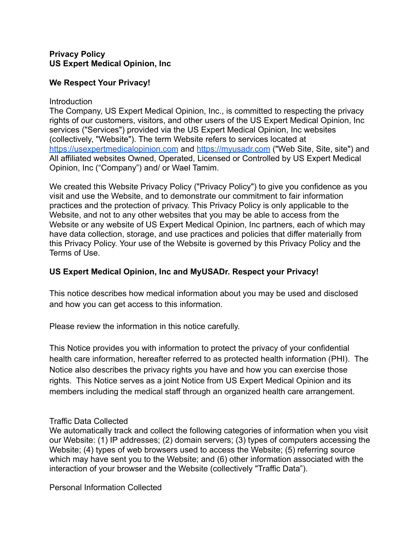#### **Privacy Policy US Expert Medical Opinion, Inc**

### **We Respect Your Privacy!**

### **Introduction**

The Company, US Expert Medical Opinion, Inc., is committed to respecting the privacy rights of our customers, visitors, and other users of the US Expert Medical Opinion, Inc services ("Services") provided via the US Expert Medical Opinion, Inc websites (collectively, "Website"). The term Website refers to services located at <https://usexpertmedicalopinion.com> and <https://myusadr.com> ("Web Site, Site, site") and All affiliated websites Owned, Operated, Licensed or Controlled by US Expert Medical Opinion, Inc ("Company") and/ or Wael Tamim.

We created this Website Privacy Policy ("Privacy Policy") to give you confidence as you visit and use the Website, and to demonstrate our commitment to fair information practices and the protection of privacy. This Privacy Policy is only applicable to the Website, and not to any other websites that you may be able to access from the Website or any website of US Expert Medical Opinion, Inc partners, each of which may have data collection, storage, and use practices and policies that differ materially from this Privacy Policy. Your use of the Website is governed by this Privacy Policy and the Terms of Use.

# **US Expert Medical Opinion, Inc and MyUSADr. Respect your Privacy!**

This notice describes how medical information about you may be used and disclosed and how you can get access to this information.

Please review the information in this notice carefully.

This Notice provides you with information to protect the privacy of your confidential health care information, hereafter referred to as protected health information (PHI). The Notice also describes the privacy rights you have and how you can exercise those rights. This Notice serves as a joint Notice from US Expert Medical Opinion and its members including the medical staff through an organized health care arrangement.

### Traffic Data Collected

We automatically track and collect the following categories of information when you visit our Website: (1) IP addresses; (2) domain servers; (3) types of computers accessing the Website; (4) types of web browsers used to access the Website; (5) referring source which may have sent you to the Website; and (6) other information associated with the interaction of your browser and the Website (collectively "Traffic Data").

Personal Information Collected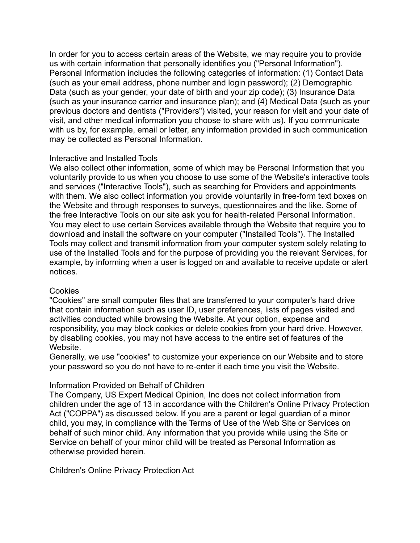In order for you to access certain areas of the Website, we may require you to provide us with certain information that personally identifies you ("Personal Information"). Personal Information includes the following categories of information: (1) Contact Data (such as your email address, phone number and login password); (2) Demographic Data (such as your gender, your date of birth and your zip code); (3) Insurance Data (such as your insurance carrier and insurance plan); and (4) Medical Data (such as your previous doctors and dentists ("Providers") visited, your reason for visit and your date of visit, and other medical information you choose to share with us). If you communicate with us by, for example, email or letter, any information provided in such communication may be collected as Personal Information.

### Interactive and Installed Tools

We also collect other information, some of which may be Personal Information that you voluntarily provide to us when you choose to use some of the Website's interactive tools and services ("Interactive Tools"), such as searching for Providers and appointments with them. We also collect information you provide voluntarily in free-form text boxes on the Website and through responses to surveys, questionnaires and the like. Some of the free Interactive Tools on our site ask you for health-related Personal Information. You may elect to use certain Services available through the Website that require you to download and install the software on your computer ("Installed Tools"). The Installed Tools may collect and transmit information from your computer system solely relating to use of the Installed Tools and for the purpose of providing you the relevant Services, for example, by informing when a user is logged on and available to receive update or alert notices.

### **Cookies**

"Cookies" are small computer files that are transferred to your computer's hard drive that contain information such as user ID, user preferences, lists of pages visited and activities conducted while browsing the Website. At your option, expense and responsibility, you may block cookies or delete cookies from your hard drive. However, by disabling cookies, you may not have access to the entire set of features of the Website.

Generally, we use "cookies" to customize your experience on our Website and to store your password so you do not have to re-enter it each time you visit the Website.

### Information Provided on Behalf of Children

The Company, US Expert Medical Opinion, Inc does not collect information from children under the age of 13 in accordance with the Children's Online Privacy Protection Act ("COPPA") as discussed below. If you are a parent or legal guardian of a minor child, you may, in compliance with the Terms of Use of the Web Site or Services on behalf of such minor child. Any information that you provide while using the Site or Service on behalf of your minor child will be treated as Personal Information as otherwise provided herein.

Children's Online Privacy Protection Act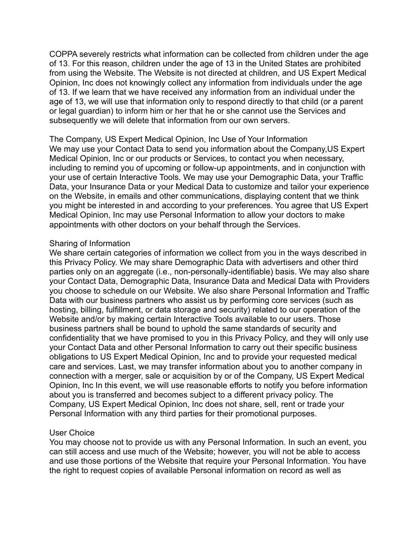COPPA severely restricts what information can be collected from children under the age of 13. For this reason, children under the age of 13 in the United States are prohibited from using the Website. The Website is not directed at children, and US Expert Medical Opinion, Inc does not knowingly collect any information from individuals under the age of 13. If we learn that we have received any information from an individual under the age of 13, we will use that information only to respond directly to that child (or a parent or legal guardian) to inform him or her that he or she cannot use the Services and subsequently we will delete that information from our own servers.

The Company, US Expert Medical Opinion, Inc Use of Your Information We may use your Contact Data to send you information about the Company,US Expert Medical Opinion, Inc or our products or Services, to contact you when necessary, including to remind you of upcoming or follow-up appointments, and in conjunction with your use of certain Interactive Tools. We may use your Demographic Data, your Traffic Data, your Insurance Data or your Medical Data to customize and tailor your experience on the Website, in emails and other communications, displaying content that we think you might be interested in and according to your preferences. You agree that US Expert Medical Opinion, Inc may use Personal Information to allow your doctors to make appointments with other doctors on your behalf through the Services.

#### Sharing of Information

We share certain categories of information we collect from you in the ways described in this Privacy Policy. We may share Demographic Data with advertisers and other third parties only on an aggregate (i.e., non-personally-identifiable) basis. We may also share your Contact Data, Demographic Data, Insurance Data and Medical Data with Providers you choose to schedule on our Website. We also share Personal Information and Traffic Data with our business partners who assist us by performing core services (such as hosting, billing, fulfillment, or data storage and security) related to our operation of the Website and/or by making certain Interactive Tools available to our users. Those business partners shall be bound to uphold the same standards of security and confidentiality that we have promised to you in this Privacy Policy, and they will only use your Contact Data and other Personal Information to carry out their specific business obligations to US Expert Medical Opinion, Inc and to provide your requested medical care and services. Last, we may transfer information about you to another company in connection with a merger, sale or acquisition by or of the Company, US Expert Medical Opinion, Inc In this event, we will use reasonable efforts to notify you before information about you is transferred and becomes subject to a different privacy policy. The Company, US Expert Medical Opinion, Inc does not share, sell, rent or trade your Personal Information with any third parties for their promotional purposes.

#### User Choice

You may choose not to provide us with any Personal Information. In such an event, you can still access and use much of the Website; however, you will not be able to access and use those portions of the Website that require your Personal Information. You have the right to request copies of available Personal information on record as well as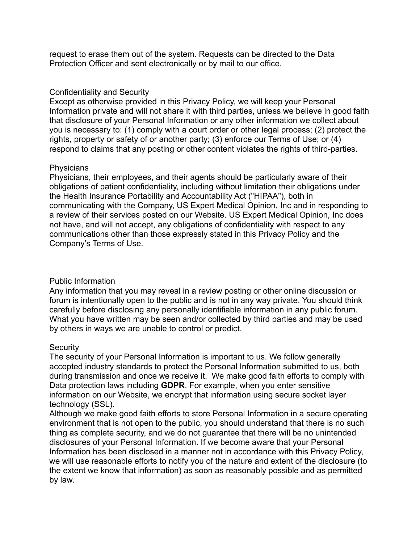request to erase them out of the system. Requests can be directed to the Data Protection Officer and sent electronically or by mail to our office.

### Confidentiality and Security

Except as otherwise provided in this Privacy Policy, we will keep your Personal Information private and will not share it with third parties, unless we believe in good faith that disclosure of your Personal Information or any other information we collect about you is necessary to: (1) comply with a court order or other legal process; (2) protect the rights, property or safety of or another party; (3) enforce our Terms of Use; or (4) respond to claims that any posting or other content violates the rights of third-parties.

## **Physicians**

Physicians, their employees, and their agents should be particularly aware of their obligations of patient confidentiality, including without limitation their obligations under the Health Insurance Portability and Accountability Act ("HIPAA"), both in communicating with the Company, US Expert Medical Opinion, Inc and in responding to a review of their services posted on our Website. US Expert Medical Opinion, Inc does not have, and will not accept, any obligations of confidentiality with respect to any communications other than those expressly stated in this Privacy Policy and the Company's Terms of Use.

# Public Information

Any information that you may reveal in a review posting or other online discussion or forum is intentionally open to the public and is not in any way private. You should think carefully before disclosing any personally identifiable information in any public forum. What you have written may be seen and/or collected by third parties and may be used by others in ways we are unable to control or predict.

### **Security**

The security of your Personal Information is important to us. We follow generally accepted industry standards to protect the Personal Information submitted to us, both during transmission and once we receive it. We make good faith efforts to comply with Data protection laws including **GDPR**. For example, when you enter sensitive information on our Website, we encrypt that information using secure socket layer technology (SSL).

Although we make good faith efforts to store Personal Information in a secure operating environment that is not open to the public, you should understand that there is no such thing as complete security, and we do not guarantee that there will be no unintended disclosures of your Personal Information. If we become aware that your Personal Information has been disclosed in a manner not in accordance with this Privacy Policy, we will use reasonable efforts to notify you of the nature and extent of the disclosure (to the extent we know that information) as soon as reasonably possible and as permitted by law.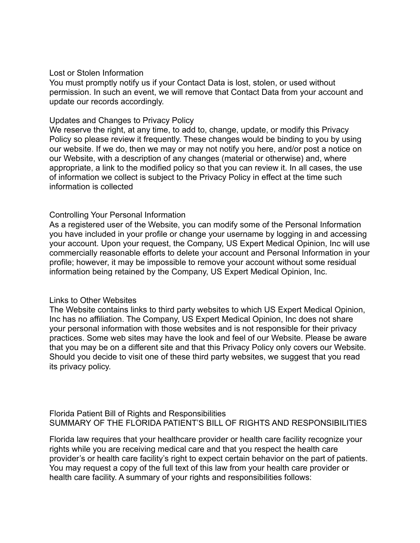#### Lost or Stolen Information

You must promptly notify us if your Contact Data is lost, stolen, or used without permission. In such an event, we will remove that Contact Data from your account and update our records accordingly.

#### Updates and Changes to Privacy Policy

We reserve the right, at any time, to add to, change, update, or modify this Privacy Policy so please review it frequently. These changes would be binding to you by using our website. If we do, then we may or may not notify you here, and/or post a notice on our Website, with a description of any changes (material or otherwise) and, where appropriate, a link to the modified policy so that you can review it. In all cases, the use of information we collect is subject to the Privacy Policy in effect at the time such information is collected

#### Controlling Your Personal Information

As a registered user of the Website, you can modify some of the Personal Information you have included in your profile or change your username by logging in and accessing your account. Upon your request, the Company, US Expert Medical Opinion, Inc will use commercially reasonable efforts to delete your account and Personal Information in your profile; however, it may be impossible to remove your account without some residual information being retained by the Company, US Expert Medical Opinion, Inc.

#### Links to Other Websites

The Website contains links to third party websites to which US Expert Medical Opinion, Inc has no affiliation. The Company, US Expert Medical Opinion, Inc does not share your personal information with those websites and is not responsible for their privacy practices. Some web sites may have the look and feel of our Website. Please be aware that you may be on a different site and that this Privacy Policy only covers our Website. Should you decide to visit one of these third party websites, we suggest that you read its privacy policy.

## Florida Patient Bill of Rights and Responsibilities SUMMARY OF THE FLORIDA PATIENT'S BILL OF RIGHTS AND RESPONSIBILITIES

Florida law requires that your healthcare provider or health care facility recognize your rights while you are receiving medical care and that you respect the health care provider's or health care facility's right to expect certain behavior on the part of patients. You may request a copy of the full text of this law from your health care provider or health care facility. A summary of your rights and responsibilities follows: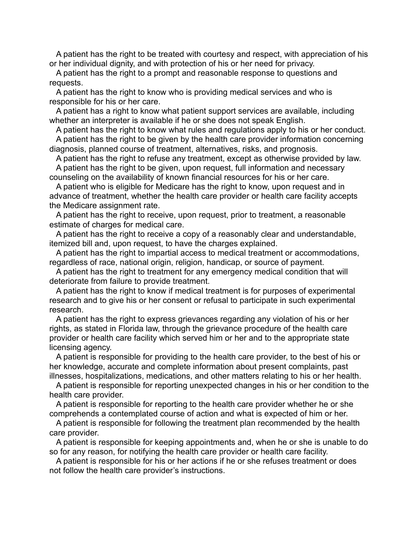A patient has the right to be treated with courtesy and respect, with appreciation of his or her individual dignity, and with protection of his or her need for privacy.

A patient has the right to a prompt and reasonable response to questions and requests.

A patient has the right to know who is providing medical services and who is responsible for his or her care.

A patient has a right to know what patient support services are available, including whether an interpreter is available if he or she does not speak English.

A patient has the right to know what rules and regulations apply to his or her conduct.

A patient has the right to be given by the health care provider information concerning diagnosis, planned course of treatment, alternatives, risks, and prognosis.

A patient has the right to refuse any treatment, except as otherwise provided by law.

A patient has the right to be given, upon request, full information and necessary counseling on the availability of known financial resources for his or her care.

A patient who is eligible for Medicare has the right to know, upon request and in advance of treatment, whether the health care provider or health care facility accepts the Medicare assignment rate.

A patient has the right to receive, upon request, prior to treatment, a reasonable estimate of charges for medical care.

A patient has the right to receive a copy of a reasonably clear and understandable, itemized bill and, upon request, to have the charges explained.

A patient has the right to impartial access to medical treatment or accommodations, regardless of race, national origin, religion, handicap, or source of payment.

A patient has the right to treatment for any emergency medical condition that will deteriorate from failure to provide treatment.

A patient has the right to know if medical treatment is for purposes of experimental research and to give his or her consent or refusal to participate in such experimental research.

A patient has the right to express grievances regarding any violation of his or her rights, as stated in Florida law, through the grievance procedure of the health care provider or health care facility which served him or her and to the appropriate state licensing agency.

A patient is responsible for providing to the health care provider, to the best of his or her knowledge, accurate and complete information about present complaints, past illnesses, hospitalizations, medications, and other matters relating to his or her health.

A patient is responsible for reporting unexpected changes in his or her condition to the health care provider.

A patient is responsible for reporting to the health care provider whether he or she comprehends a contemplated course of action and what is expected of him or her.

A patient is responsible for following the treatment plan recommended by the health care provider.

A patient is responsible for keeping appointments and, when he or she is unable to do so for any reason, for notifying the health care provider or health care facility.

A patient is responsible for his or her actions if he or she refuses treatment or does not follow the health care provider's instructions.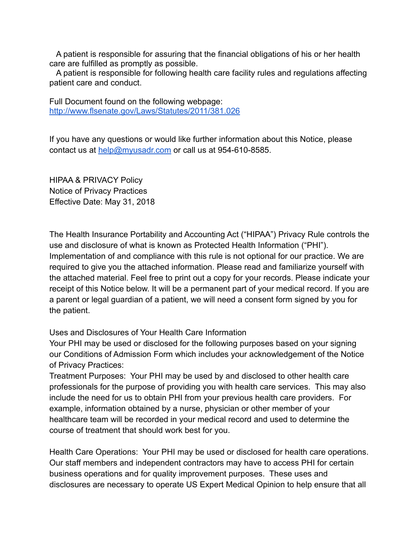A patient is responsible for assuring that the financial obligations of his or her health care are fulfilled as promptly as possible.

A patient is responsible for following health care facility rules and regulations affecting patient care and conduct.

Full Document found on the following webpage: <http://www.flsenate.gov/Laws/Statutes/2011/381.026>

If you have any questions or would like further information about this Notice, please contact us at [help@myusadr.com](mailto:help@myusadr.com) or call us at 954-610-8585.

HIPAA & PRIVACY Policy Notice of Privacy Practices Effective Date: May 31, 2018

The Health Insurance Portability and Accounting Act ("HIPAA") Privacy Rule controls the use and disclosure of what is known as Protected Health Information ("PHI"). Implementation of and compliance with this rule is not optional for our practice. We are required to give you the attached information. Please read and familiarize yourself with the attached material. Feel free to print out a copy for your records. Please indicate your receipt of this Notice below. It will be a permanent part of your medical record. If you are a parent or legal guardian of a patient, we will need a consent form signed by you for the patient.

Uses and Disclosures of Your Health Care Information

Your PHI may be used or disclosed for the following purposes based on your signing our Conditions of Admission Form which includes your acknowledgement of the Notice of Privacy Practices:

Treatment Purposes: Your PHI may be used by and disclosed to other health care professionals for the purpose of providing you with health care services. This may also include the need for us to obtain PHI from your previous health care providers. For example, information obtained by a nurse, physician or other member of your healthcare team will be recorded in your medical record and used to determine the course of treatment that should work best for you.

Health Care Operations: Your PHI may be used or disclosed for health care operations. Our staff members and independent contractors may have to access PHI for certain business operations and for quality improvement purposes. These uses and disclosures are necessary to operate US Expert Medical Opinion to help ensure that all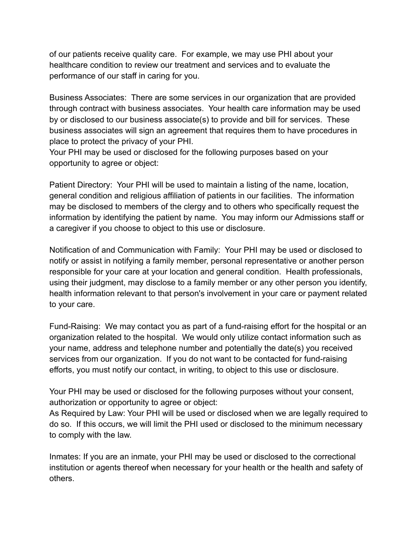of our patients receive quality care. For example, we may use PHI about your healthcare condition to review our treatment and services and to evaluate the performance of our staff in caring for you.

Business Associates: There are some services in our organization that are provided through contract with business associates. Your health care information may be used by or disclosed to our business associate(s) to provide and bill for services. These business associates will sign an agreement that requires them to have procedures in place to protect the privacy of your PHI.

Your PHI may be used or disclosed for the following purposes based on your opportunity to agree or object:

Patient Directory: Your PHI will be used to maintain a listing of the name, location, general condition and religious affiliation of patients in our facilities. The information may be disclosed to members of the clergy and to others who specifically request the information by identifying the patient by name. You may inform our Admissions staff or a caregiver if you choose to object to this use or disclosure.

Notification of and Communication with Family: Your PHI may be used or disclosed to notify or assist in notifying a family member, personal representative or another person responsible for your care at your location and general condition. Health professionals, using their judgment, may disclose to a family member or any other person you identify, health information relevant to that person's involvement in your care or payment related to your care.

Fund-Raising: We may contact you as part of a fund-raising effort for the hospital or an organization related to the hospital. We would only utilize contact information such as your name, address and telephone number and potentially the date(s) you received services from our organization. If you do not want to be contacted for fund-raising efforts, you must notify our contact, in writing, to object to this use or disclosure.

Your PHI may be used or disclosed for the following purposes without your consent, authorization or opportunity to agree or object:

As Required by Law: Your PHI will be used or disclosed when we are legally required to do so. If this occurs, we will limit the PHI used or disclosed to the minimum necessary to comply with the law.

Inmates: If you are an inmate, your PHI may be used or disclosed to the correctional institution or agents thereof when necessary for your health or the health and safety of others.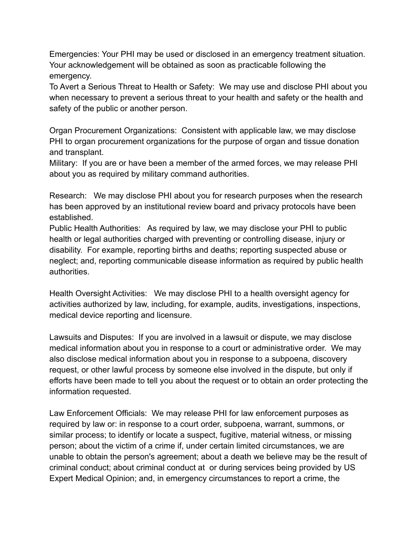Emergencies: Your PHI may be used or disclosed in an emergency treatment situation. Your acknowledgement will be obtained as soon as practicable following the emergency.

To Avert a Serious Threat to Health or Safety: We may use and disclose PHI about you when necessary to prevent a serious threat to your health and safety or the health and safety of the public or another person.

Organ Procurement Organizations: Consistent with applicable law, we may disclose PHI to organ procurement organizations for the purpose of organ and tissue donation and transplant.

Military: If you are or have been a member of the armed forces, we may release PHI about you as required by military command authorities.

Research: We may disclose PHI about you for research purposes when the research has been approved by an institutional review board and privacy protocols have been established.

Public Health Authorities: As required by law, we may disclose your PHI to public health or legal authorities charged with preventing or controlling disease, injury or disability. For example, reporting births and deaths; reporting suspected abuse or neglect; and, reporting communicable disease information as required by public health authorities.

Health Oversight Activities: We may disclose PHI to a health oversight agency for activities authorized by law, including, for example, audits, investigations, inspections, medical device reporting and licensure.

Lawsuits and Disputes: If you are involved in a lawsuit or dispute, we may disclose medical information about you in response to a court or administrative order. We may also disclose medical information about you in response to a subpoena, discovery request, or other lawful process by someone else involved in the dispute, but only if efforts have been made to tell you about the request or to obtain an order protecting the information requested.

Law Enforcement Officials: We may release PHI for law enforcement purposes as required by law or: in response to a court order, subpoena, warrant, summons, or similar process; to identify or locate a suspect, fugitive, material witness, or missing person; about the victim of a crime if, under certain limited circumstances, we are unable to obtain the person's agreement; about a death we believe may be the result of criminal conduct; about criminal conduct at or during services being provided by US Expert Medical Opinion; and, in emergency circumstances to report a crime, the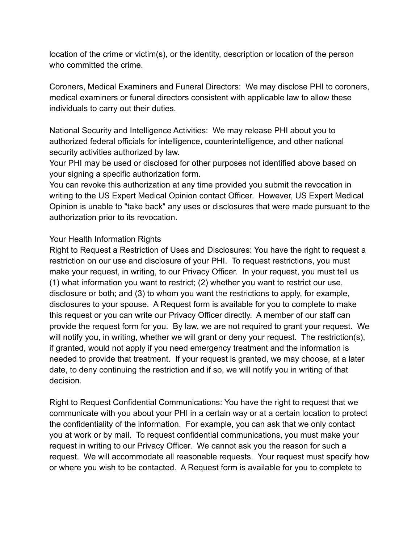location of the crime or victim(s), or the identity, description or location of the person who committed the crime.

Coroners, Medical Examiners and Funeral Directors: We may disclose PHI to coroners, medical examiners or funeral directors consistent with applicable law to allow these individuals to carry out their duties.

National Security and Intelligence Activities: We may release PHI about you to authorized federal officials for intelligence, counterintelligence, and other national security activities authorized by law.

Your PHI may be used or disclosed for other purposes not identified above based on your signing a specific authorization form.

You can revoke this authorization at any time provided you submit the revocation in writing to the US Expert Medical Opinion contact Officer. However, US Expert Medical Opinion is unable to "take back" any uses or disclosures that were made pursuant to the authorization prior to its revocation.

# Your Health Information Rights

Right to Request a Restriction of Uses and Disclosures: You have the right to request a restriction on our use and disclosure of your PHI. To request restrictions, you must make your request, in writing, to our Privacy Officer. In your request, you must tell us (1) what information you want to restrict; (2) whether you want to restrict our use, disclosure or both; and (3) to whom you want the restrictions to apply, for example, disclosures to your spouse. A Request form is available for you to complete to make this request or you can write our Privacy Officer directly. A member of our staff can provide the request form for you. By law, we are not required to grant your request. We will notify you, in writing, whether we will grant or deny your request. The restriction(s), if granted, would not apply if you need emergency treatment and the information is needed to provide that treatment. If your request is granted, we may choose, at a later date, to deny continuing the restriction and if so, we will notify you in writing of that decision.

Right to Request Confidential Communications: You have the right to request that we communicate with you about your PHI in a certain way or at a certain location to protect the confidentiality of the information. For example, you can ask that we only contact you at work or by mail. To request confidential communications, you must make your request in writing to our Privacy Officer. We cannot ask you the reason for such a request. We will accommodate all reasonable requests. Your request must specify how or where you wish to be contacted. A Request form is available for you to complete to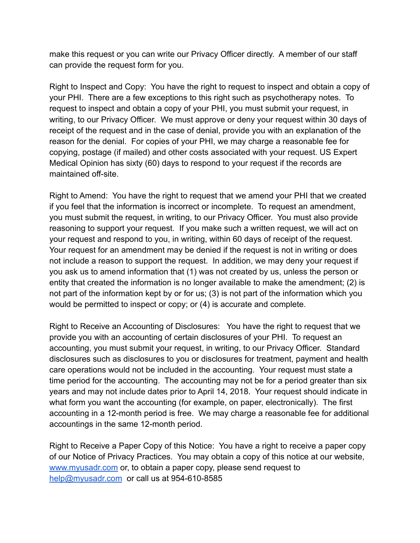make this request or you can write our Privacy Officer directly. A member of our staff can provide the request form for you.

Right to Inspect and Copy: You have the right to request to inspect and obtain a copy of your PHI. There are a few exceptions to this right such as psychotherapy notes. To request to inspect and obtain a copy of your PHI, you must submit your request, in writing, to our Privacy Officer. We must approve or deny your request within 30 days of receipt of the request and in the case of denial, provide you with an explanation of the reason for the denial. For copies of your PHI, we may charge a reasonable fee for copying, postage (if mailed) and other costs associated with your request. US Expert Medical Opinion has sixty (60) days to respond to your request if the records are maintained off-site.

Right to Amend: You have the right to request that we amend your PHI that we created if you feel that the information is incorrect or incomplete. To request an amendment, you must submit the request, in writing, to our Privacy Officer. You must also provide reasoning to support your request. If you make such a written request, we will act on your request and respond to you, in writing, within 60 days of receipt of the request. Your request for an amendment may be denied if the request is not in writing or does not include a reason to support the request. In addition, we may deny your request if you ask us to amend information that (1) was not created by us, unless the person or entity that created the information is no longer available to make the amendment; (2) is not part of the information kept by or for us; (3) is not part of the information which you would be permitted to inspect or copy; or (4) is accurate and complete.

Right to Receive an Accounting of Disclosures: You have the right to request that we provide you with an accounting of certain disclosures of your PHI. To request an accounting, you must submit your request, in writing, to our Privacy Officer. Standard disclosures such as disclosures to you or disclosures for treatment, payment and health care operations would not be included in the accounting. Your request must state a time period for the accounting. The accounting may not be for a period greater than six years and may not include dates prior to April 14, 2018. Your request should indicate in what form you want the accounting (for example, on paper, electronically). The first accounting in a 12-month period is free. We may charge a reasonable fee for additional accountings in the same 12-month period.

Right to Receive a Paper Copy of this Notice: You have a right to receive a paper copy of our Notice of Privacy Practices. You may obtain a copy of this notice at our website, [www.myusadr.com](http://www.myusadr.com) or, to obtain a paper copy, please send request to [help@myusadr.com](mailto:help@myusadr.com) or call us at 954-610-8585